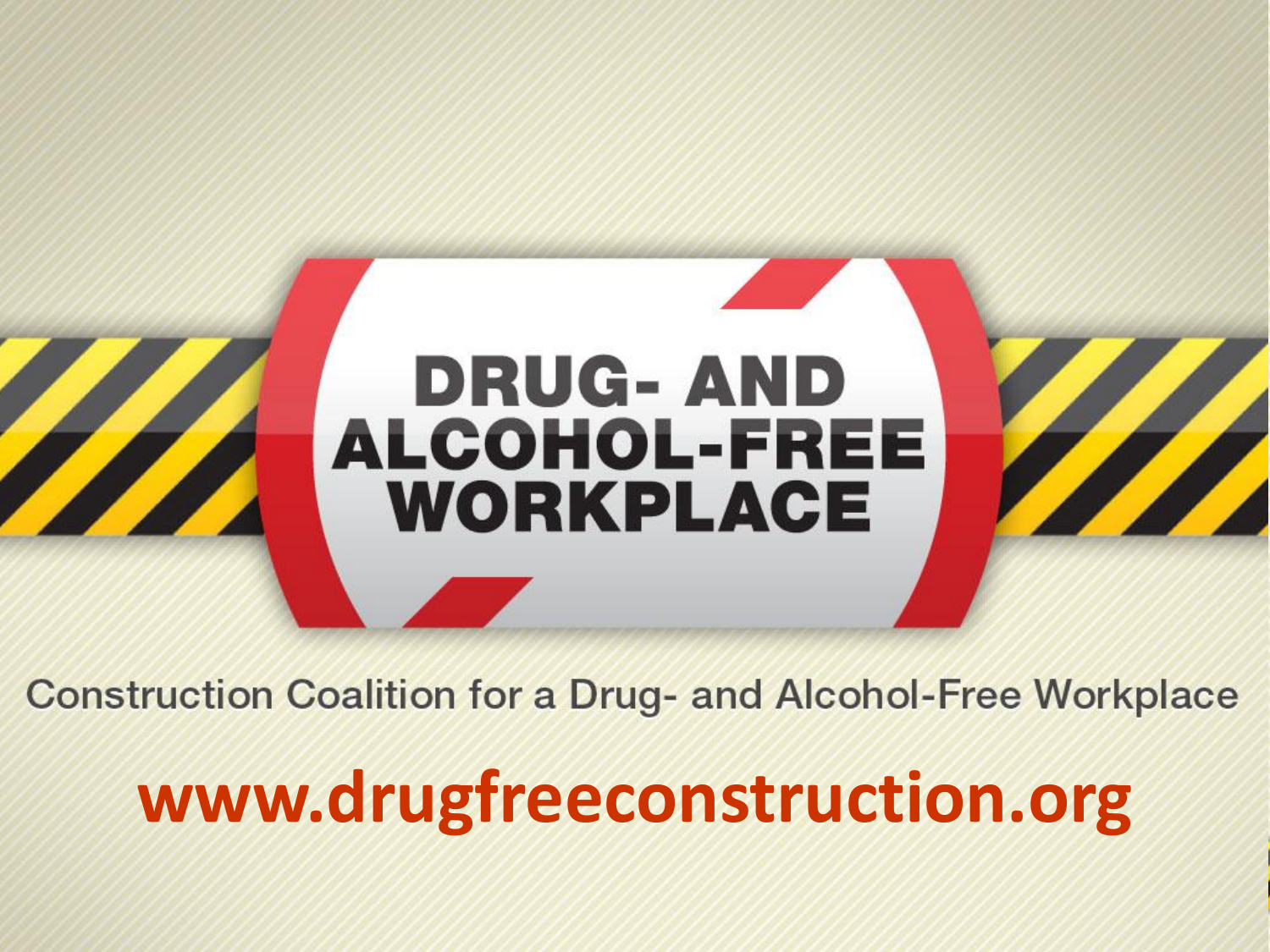

**Construction Coalition for a Drug- and Alcohol-Free Workplace** 

## **www.drugfreeconstruction.org**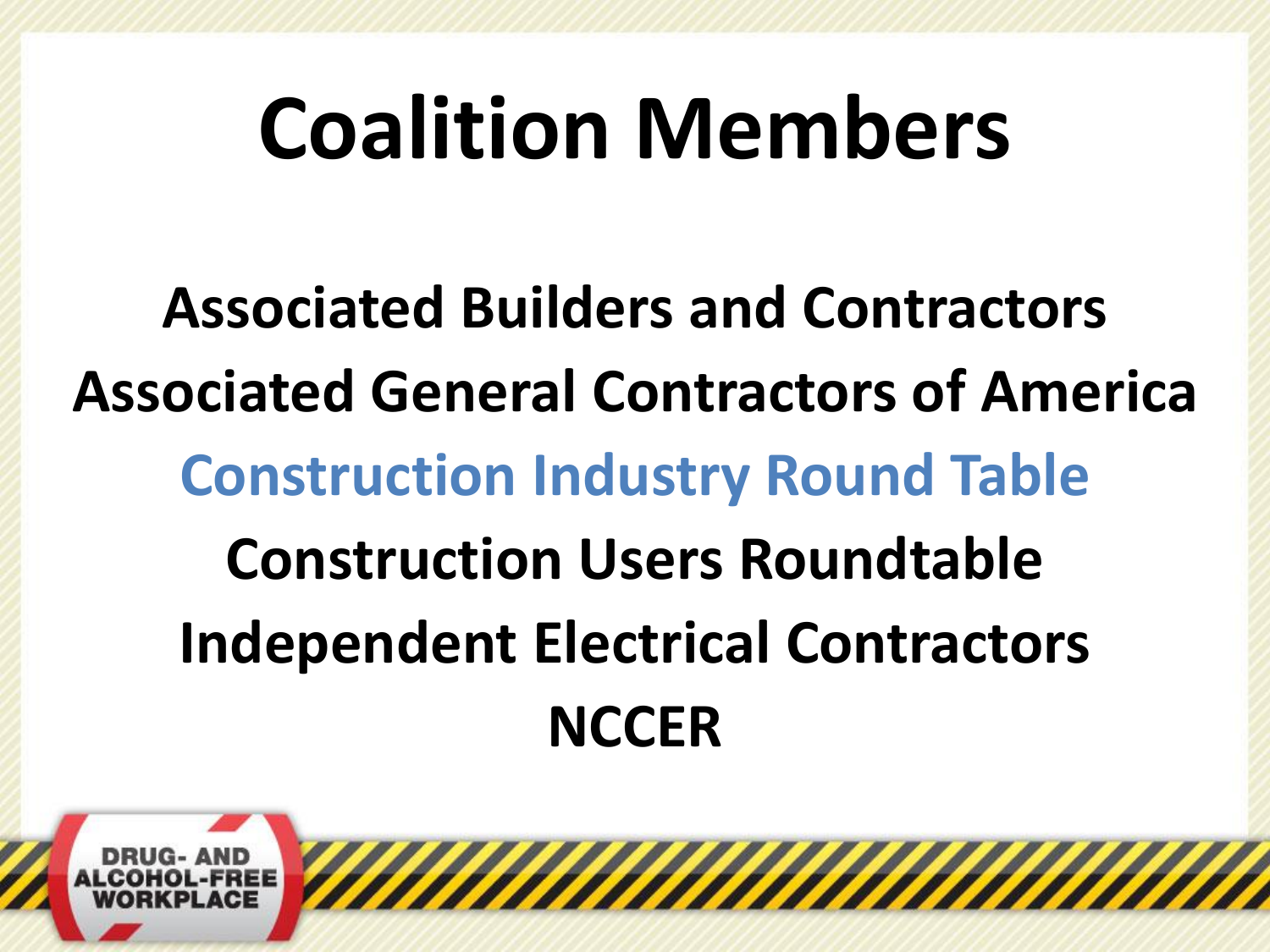# **Coalition Members**

**Associated Builders and Contractors Associated General Contractors of America Construction Industry Round Table Construction Users Roundtable Independent Electrical Contractors NCCER**

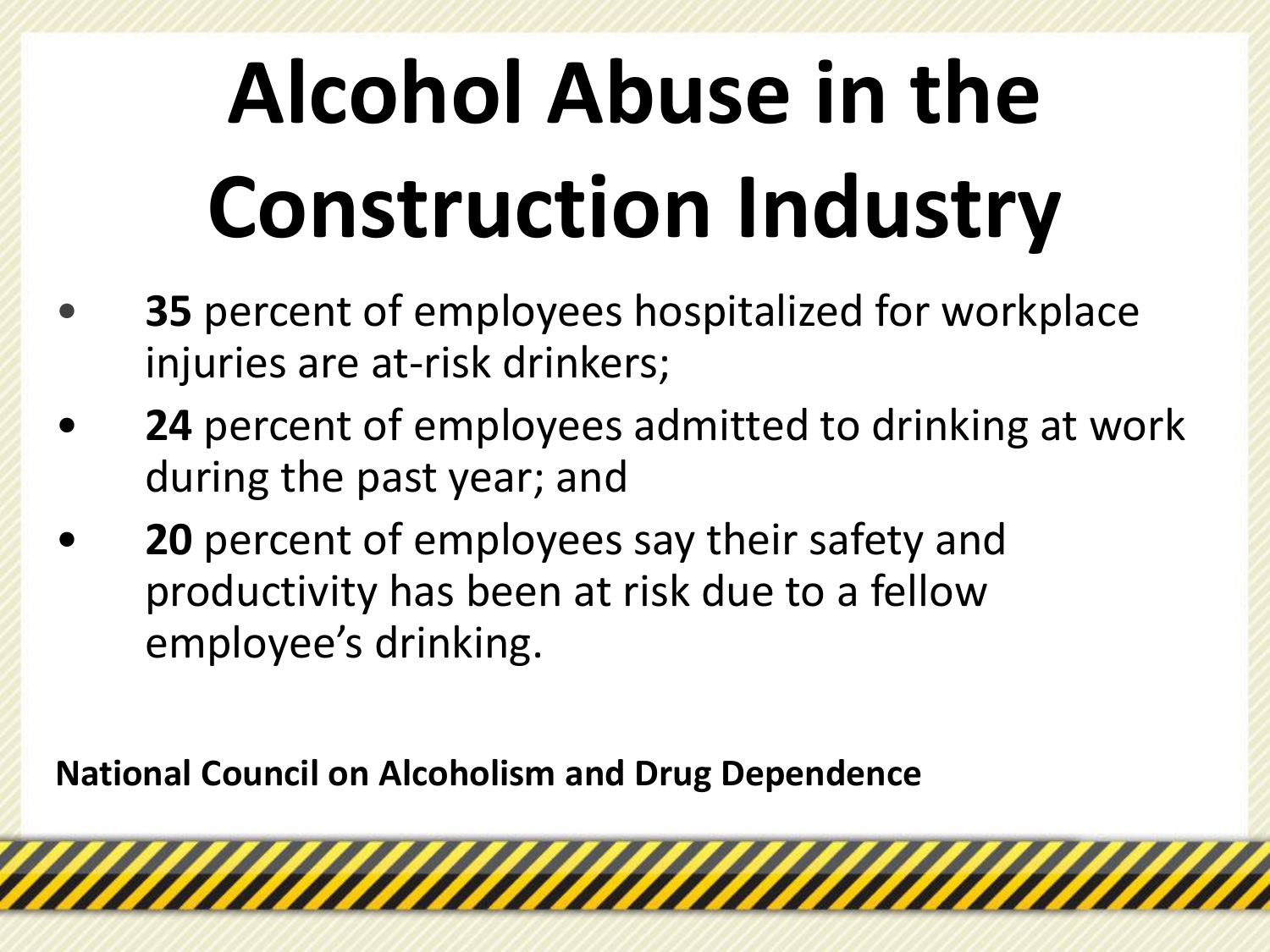# **Alcohol Abuse in the Construction Industry**

- **35** percent of employees hospitalized for workplace injuries are at-risk drinkers;
- **24** percent of employees admitted to drinking at work during the past year; and

*MAHAAAAAAAAAAAAAAAAAAAAAAA* 

• **20** percent of employees say their safety and productivity has been at risk due to a fellow employee's drinking.

**National Council on Alcoholism and Drug Dependence**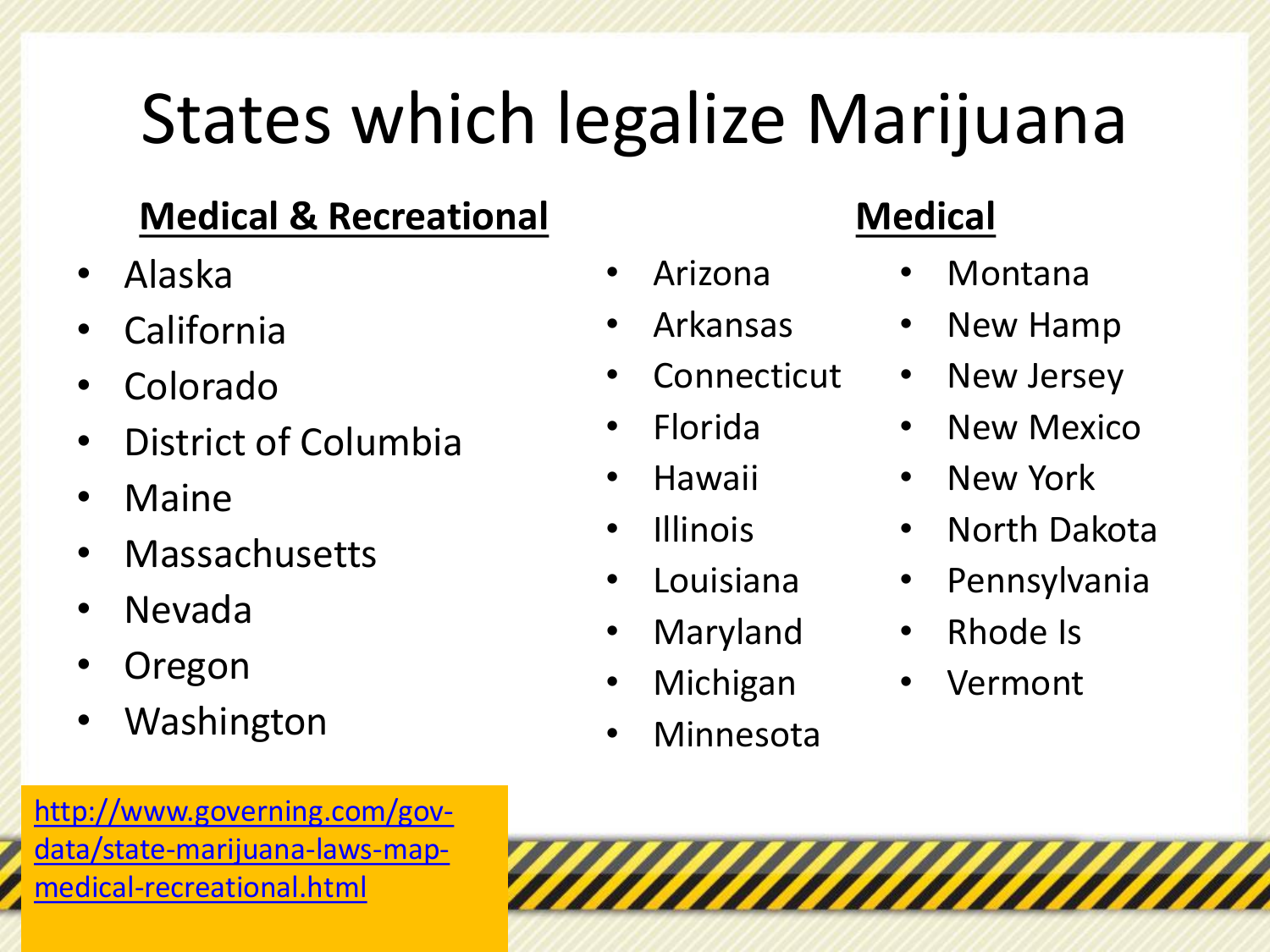## States which legalize Marijuana

#### **Medical & Recreational**

- Alaska
- **California**
- Colorado
- District of Columbia
- Maine
- **Massachusetts**
- Nevada
- **Oregon**
- **Washington**

http://www.governing.com/gov[data/state-marijuana-laws-map](http://www.governing.com/gov-data/state-marijuana-laws-map-medical-recreational.html)medical-recreational.html

### • Arizona

- Arkansas
- Connecticut
- Florida
- Hawaii
- Illinois
- Louisiana
- **Maryland**
- **Michigan**
- Minnesota

#### **Medical**

- Montana
- New Hamp
- New Jersey
- New Mexico
- New York
- North Dakota
- Pennsylvania
- Rhode Is
- Vermont

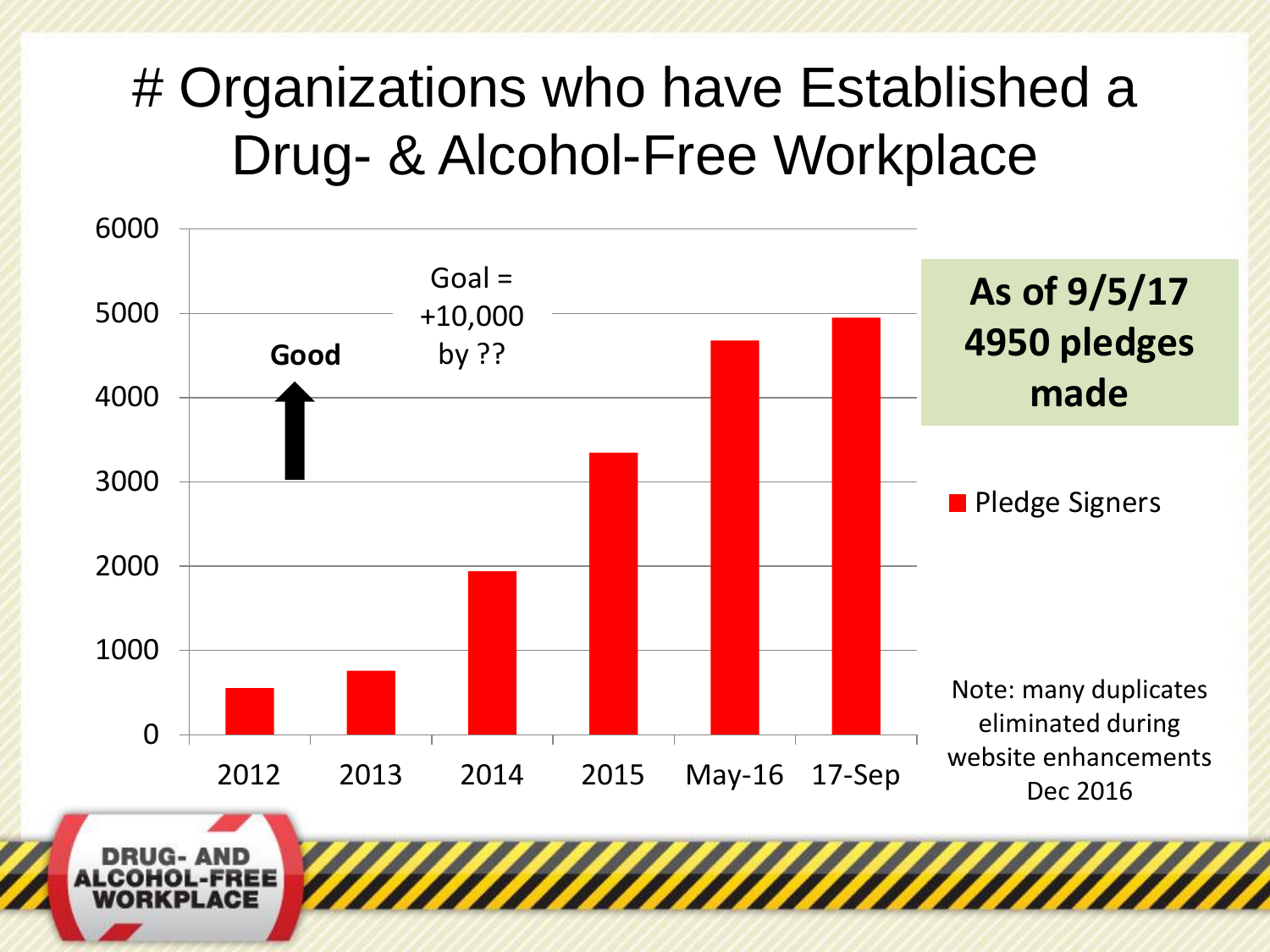### # Organizations who have Established a Drug- & Alcohol-Free Workplace